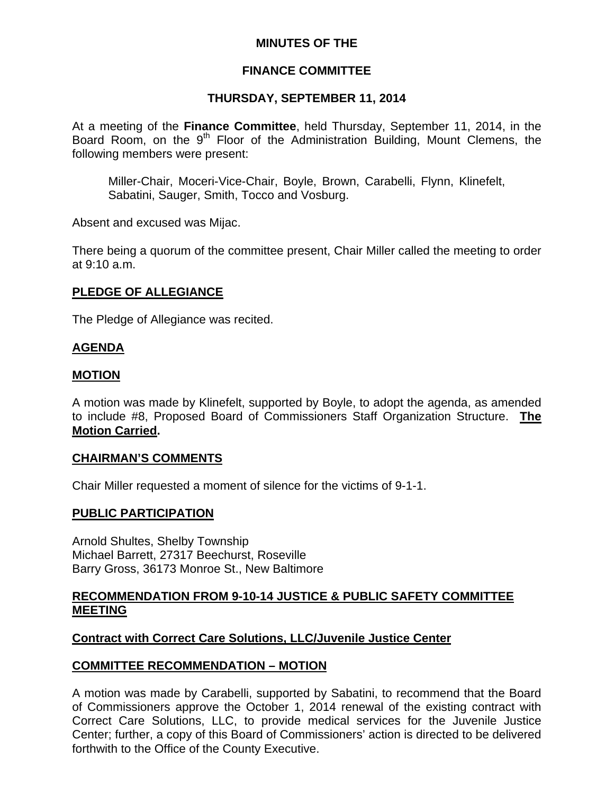# **MINUTES OF THE**

# **FINANCE COMMITTEE**

# **THURSDAY, SEPTEMBER 11, 2014**

At a meeting of the **Finance Committee**, held Thursday, September 11, 2014, in the Board Room, on the 9<sup>th</sup> Floor of the Administration Building, Mount Clemens, the following members were present:

Miller-Chair, Moceri-Vice-Chair, Boyle, Brown, Carabelli, Flynn, Klinefelt, Sabatini, Sauger, Smith, Tocco and Vosburg.

Absent and excused was Mijac.

There being a quorum of the committee present, Chair Miller called the meeting to order at 9:10 a.m.

# **PLEDGE OF ALLEGIANCE**

The Pledge of Allegiance was recited.

# **AGENDA**

## **MOTION**

A motion was made by Klinefelt, supported by Boyle, to adopt the agenda, as amended to include #8, Proposed Board of Commissioners Staff Organization Structure. **The Motion Carried.** 

#### **CHAIRMAN'S COMMENTS**

Chair Miller requested a moment of silence for the victims of 9-1-1.

#### **PUBLIC PARTICIPATION**

Arnold Shultes, Shelby Township Michael Barrett, 27317 Beechurst, Roseville Barry Gross, 36173 Monroe St., New Baltimore

#### **RECOMMENDATION FROM 9-10-14 JUSTICE & PUBLIC SAFETY COMMITTEE MEETING**

# **Contract with Correct Care Solutions, LLC/Juvenile Justice Center**

# **COMMITTEE RECOMMENDATION – MOTION**

A motion was made by Carabelli, supported by Sabatini, to recommend that the Board of Commissioners approve the October 1, 2014 renewal of the existing contract with Correct Care Solutions, LLC, to provide medical services for the Juvenile Justice Center; further, a copy of this Board of Commissioners' action is directed to be delivered forthwith to the Office of the County Executive.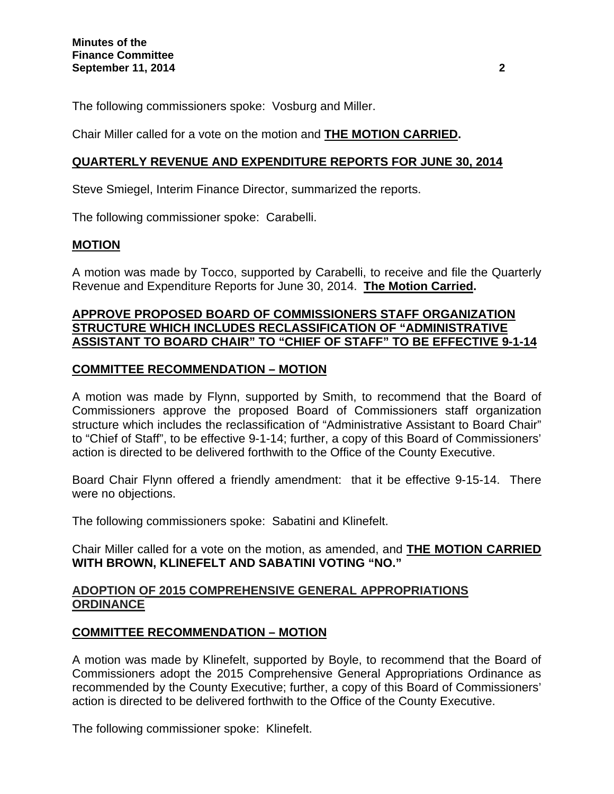The following commissioners spoke: Vosburg and Miller.

Chair Miller called for a vote on the motion and **THE MOTION CARRIED.**

## **QUARTERLY REVENUE AND EXPENDITURE REPORTS FOR JUNE 30, 2014**

Steve Smiegel, Interim Finance Director, summarized the reports.

The following commissioner spoke: Carabelli.

## **MOTION**

A motion was made by Tocco, supported by Carabelli, to receive and file the Quarterly Revenue and Expenditure Reports for June 30, 2014. **The Motion Carried.** 

#### **APPROVE PROPOSED BOARD OF COMMISSIONERS STAFF ORGANIZATION STRUCTURE WHICH INCLUDES RECLASSIFICATION OF "ADMINISTRATIVE ASSISTANT TO BOARD CHAIR" TO "CHIEF OF STAFF" TO BE EFFECTIVE 9-1-14**

## **COMMITTEE RECOMMENDATION – MOTION**

A motion was made by Flynn, supported by Smith, to recommend that the Board of Commissioners approve the proposed Board of Commissioners staff organization structure which includes the reclassification of "Administrative Assistant to Board Chair" to "Chief of Staff", to be effective 9-1-14; further, a copy of this Board of Commissioners' action is directed to be delivered forthwith to the Office of the County Executive.

Board Chair Flynn offered a friendly amendment: that it be effective 9-15-14. There were no objections.

The following commissioners spoke: Sabatini and Klinefelt.

Chair Miller called for a vote on the motion, as amended, and **THE MOTION CARRIED WITH BROWN, KLINEFELT AND SABATINI VOTING "NO."** 

## **ADOPTION OF 2015 COMPREHENSIVE GENERAL APPROPRIATIONS ORDINANCE**

#### **COMMITTEE RECOMMENDATION – MOTION**

A motion was made by Klinefelt, supported by Boyle, to recommend that the Board of Commissioners adopt the 2015 Comprehensive General Appropriations Ordinance as recommended by the County Executive; further, a copy of this Board of Commissioners' action is directed to be delivered forthwith to the Office of the County Executive.

The following commissioner spoke: Klinefelt.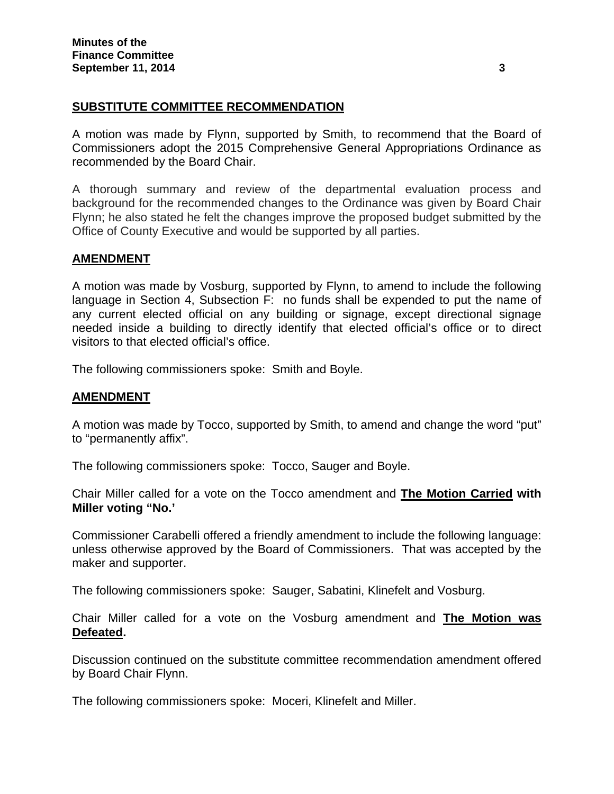## **SUBSTITUTE COMMITTEE RECOMMENDATION**

A motion was made by Flynn, supported by Smith, to recommend that the Board of Commissioners adopt the 2015 Comprehensive General Appropriations Ordinance as recommended by the Board Chair.

A thorough summary and review of the departmental evaluation process and background for the recommended changes to the Ordinance was given by Board Chair Flynn; he also stated he felt the changes improve the proposed budget submitted by the Office of County Executive and would be supported by all parties.

#### **AMENDMENT**

A motion was made by Vosburg, supported by Flynn, to amend to include the following language in Section 4, Subsection F: no funds shall be expended to put the name of any current elected official on any building or signage, except directional signage needed inside a building to directly identify that elected official's office or to direct visitors to that elected official's office.

The following commissioners spoke: Smith and Boyle.

#### **AMENDMENT**

A motion was made by Tocco, supported by Smith, to amend and change the word "put" to "permanently affix".

The following commissioners spoke: Tocco, Sauger and Boyle.

Chair Miller called for a vote on the Tocco amendment and **The Motion Carried with Miller voting "No.'** 

Commissioner Carabelli offered a friendly amendment to include the following language: unless otherwise approved by the Board of Commissioners. That was accepted by the maker and supporter.

The following commissioners spoke: Sauger, Sabatini, Klinefelt and Vosburg.

Chair Miller called for a vote on the Vosburg amendment and **The Motion was Defeated.** 

Discussion continued on the substitute committee recommendation amendment offered by Board Chair Flynn.

The following commissioners spoke: Moceri, Klinefelt and Miller.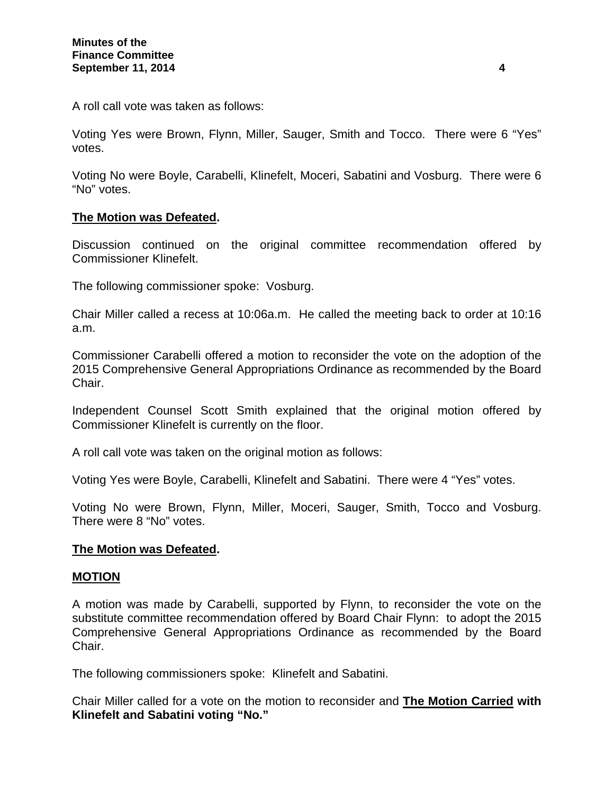A roll call vote was taken as follows:

Voting Yes were Brown, Flynn, Miller, Sauger, Smith and Tocco. There were 6 "Yes" votes.

Voting No were Boyle, Carabelli, Klinefelt, Moceri, Sabatini and Vosburg. There were 6 "No" votes.

## **The Motion was Defeated.**

Discussion continued on the original committee recommendation offered by Commissioner Klinefelt.

The following commissioner spoke: Vosburg.

Chair Miller called a recess at 10:06a.m. He called the meeting back to order at 10:16 a.m.

Commissioner Carabelli offered a motion to reconsider the vote on the adoption of the 2015 Comprehensive General Appropriations Ordinance as recommended by the Board Chair.

Independent Counsel Scott Smith explained that the original motion offered by Commissioner Klinefelt is currently on the floor.

A roll call vote was taken on the original motion as follows:

Voting Yes were Boyle, Carabelli, Klinefelt and Sabatini. There were 4 "Yes" votes.

Voting No were Brown, Flynn, Miller, Moceri, Sauger, Smith, Tocco and Vosburg. There were 8 "No" votes.

#### **The Motion was Defeated.**

#### **MOTION**

A motion was made by Carabelli, supported by Flynn, to reconsider the vote on the substitute committee recommendation offered by Board Chair Flynn: to adopt the 2015 Comprehensive General Appropriations Ordinance as recommended by the Board Chair.

The following commissioners spoke: Klinefelt and Sabatini.

Chair Miller called for a vote on the motion to reconsider and **The Motion Carried with Klinefelt and Sabatini voting "No."**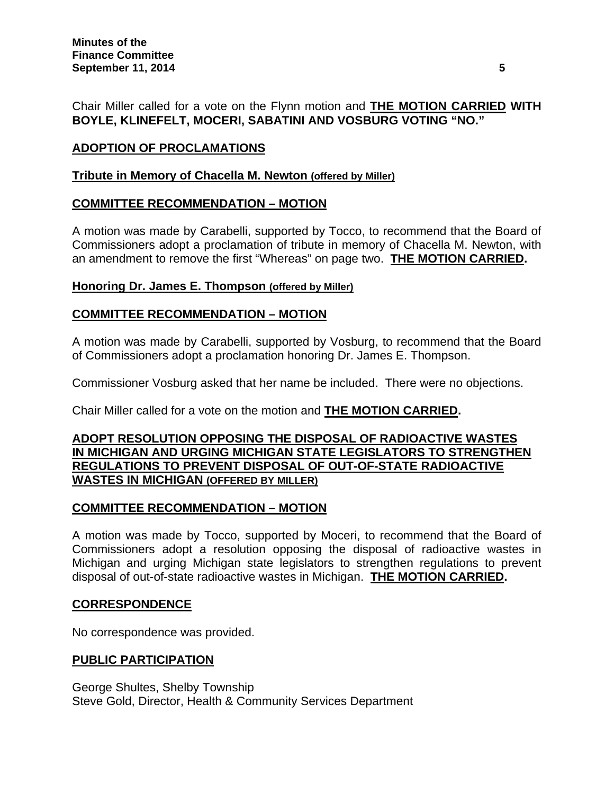Chair Miller called for a vote on the Flynn motion and **THE MOTION CARRIED WITH BOYLE, KLINEFELT, MOCERI, SABATINI AND VOSBURG VOTING "NO."** 

# **ADOPTION OF PROCLAMATIONS**

## **Tribute in Memory of Chacella M. Newton (offered by Miller)**

# **COMMITTEE RECOMMENDATION – MOTION**

A motion was made by Carabelli, supported by Tocco, to recommend that the Board of Commissioners adopt a proclamation of tribute in memory of Chacella M. Newton, with an amendment to remove the first "Whereas" on page two. **THE MOTION CARRIED.** 

## **Honoring Dr. James E. Thompson (offered by Miller)**

# **COMMITTEE RECOMMENDATION – MOTION**

A motion was made by Carabelli, supported by Vosburg, to recommend that the Board of Commissioners adopt a proclamation honoring Dr. James E. Thompson.

Commissioner Vosburg asked that her name be included. There were no objections.

Chair Miller called for a vote on the motion and **THE MOTION CARRIED.**

## **ADOPT RESOLUTION OPPOSING THE DISPOSAL OF RADIOACTIVE WASTES IN MICHIGAN AND URGING MICHIGAN STATE LEGISLATORS TO STRENGTHEN REGULATIONS TO PREVENT DISPOSAL OF OUT-OF-STATE RADIOACTIVE WASTES IN MICHIGAN (OFFERED BY MILLER)**

# **COMMITTEE RECOMMENDATION – MOTION**

A motion was made by Tocco, supported by Moceri, to recommend that the Board of Commissioners adopt a resolution opposing the disposal of radioactive wastes in Michigan and urging Michigan state legislators to strengthen regulations to prevent disposal of out-of-state radioactive wastes in Michigan. **THE MOTION CARRIED.** 

#### **CORRESPONDENCE**

No correspondence was provided.

# **PUBLIC PARTICIPATION**

George Shultes, Shelby Township Steve Gold, Director, Health & Community Services Department